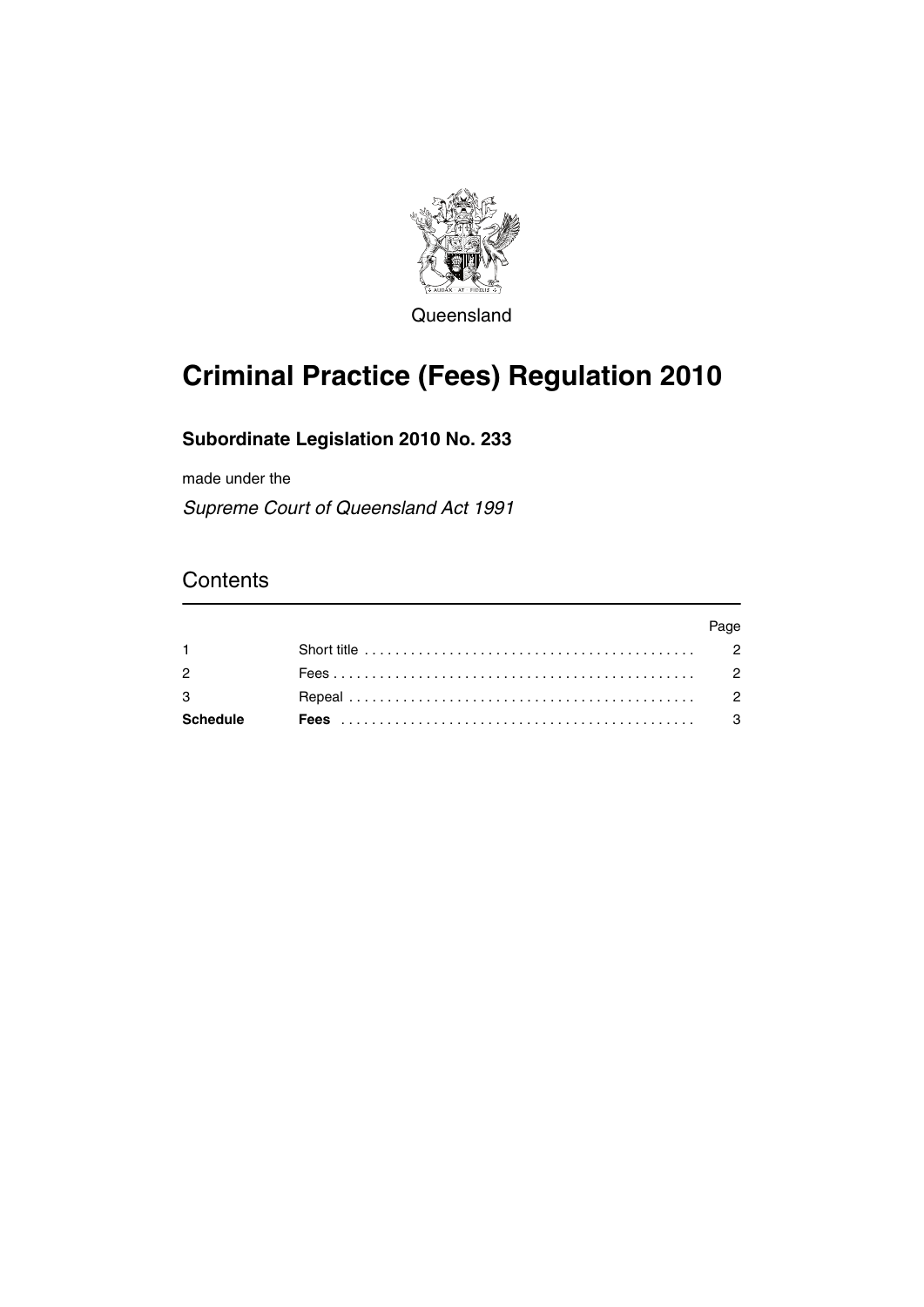

Queensland

# **Criminal Practice (Fees) Regulation 2010**

## **Subordinate Legislation 2010 No. 233**

made under the

*Supreme Court of Queensland Act 1991*

## **Contents**

|                 |                                                                                                   | aae |
|-----------------|---------------------------------------------------------------------------------------------------|-----|
|                 | Short title $\ldots \ldots \ldots \ldots \ldots \ldots \ldots \ldots \ldots \ldots \ldots \ldots$ |     |
| $\overline{2}$  |                                                                                                   |     |
| 3               |                                                                                                   |     |
| <b>Schedule</b> |                                                                                                   |     |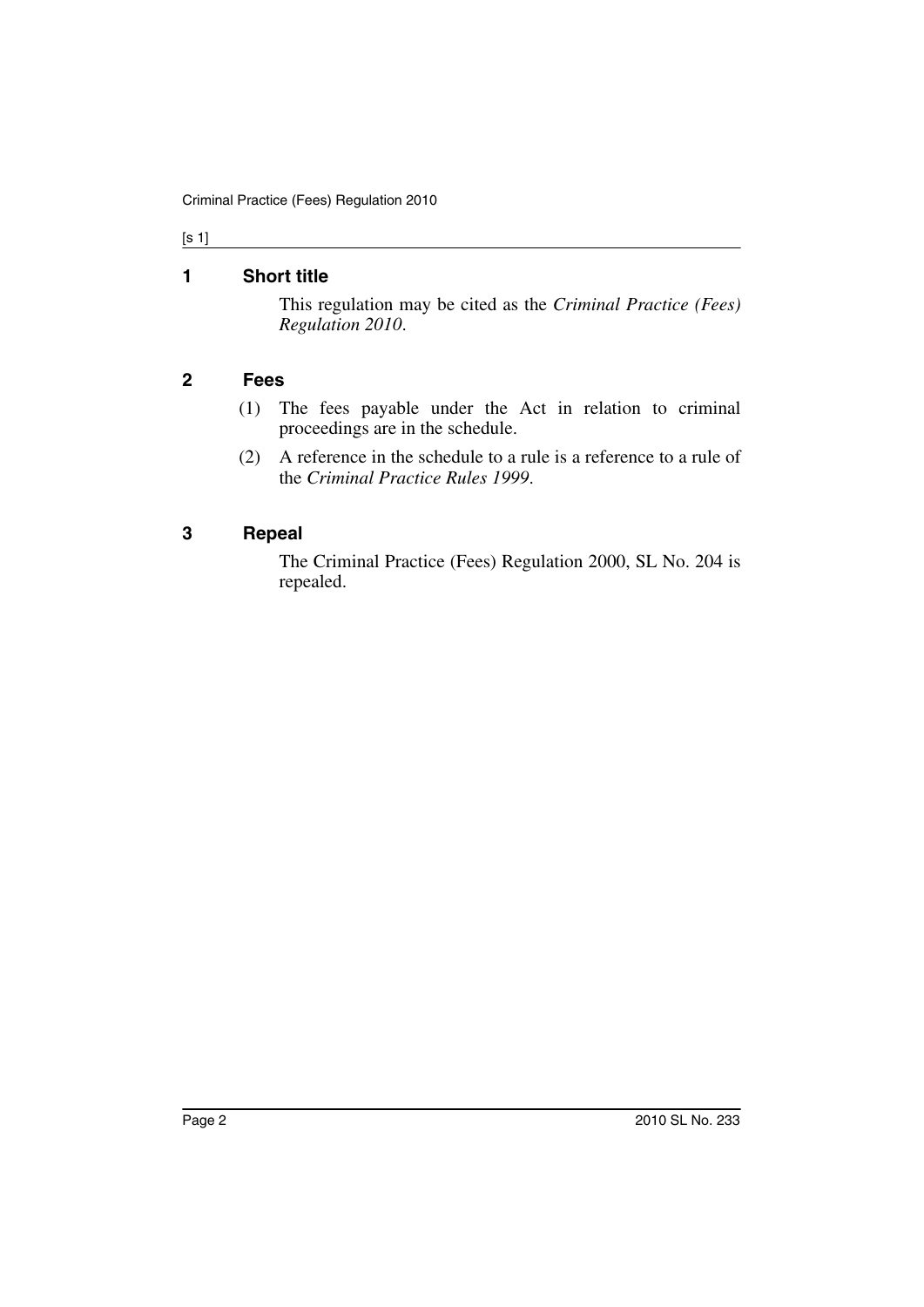#### [s 1]

### <span id="page-1-0"></span>**1 Short title**

This regulation may be cited as the *Criminal Practice (Fees) Regulation 2010*.

### <span id="page-1-1"></span>**2 Fees**

- (1) The fees payable under the Act in relation to criminal proceedings are in the schedule.
- (2) A reference in the schedule to a rule is a reference to a rule of the *Criminal Practice Rules 1999*.

#### <span id="page-1-2"></span>**3 Repeal**

The Criminal Practice (Fees) Regulation 2000, SL No. 204 is repealed.